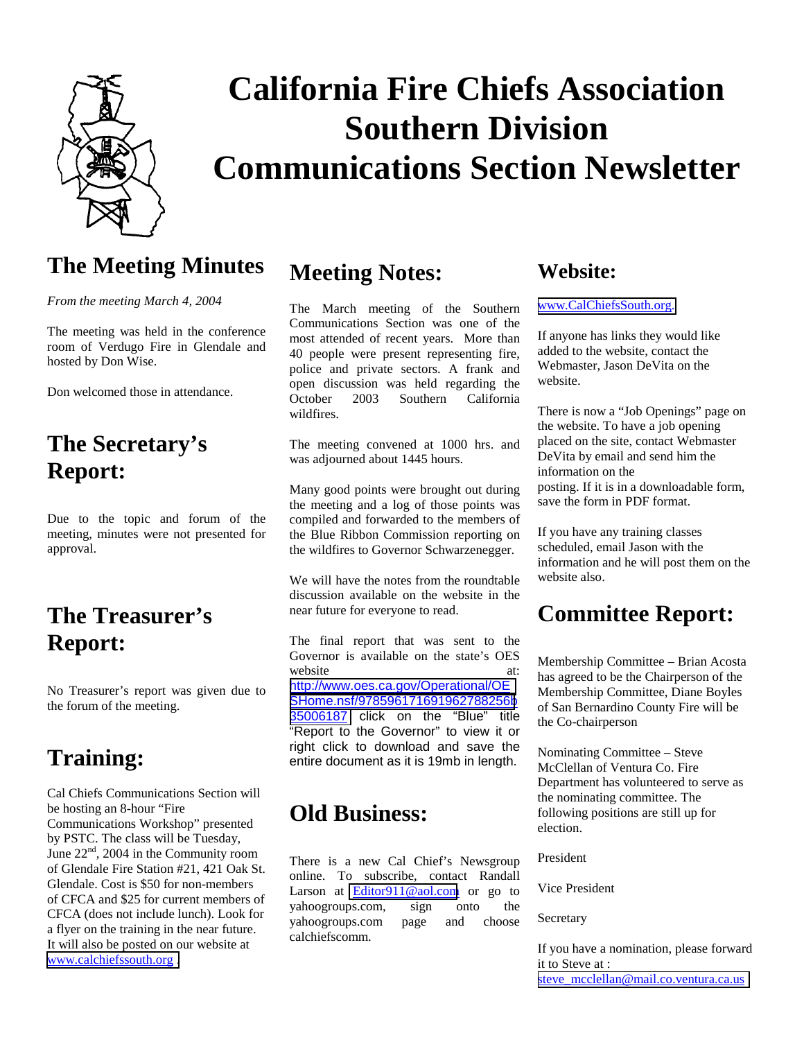

# **California Fire Chiefs Association Southern Division Communications Section Newsletter**

#### **The Meeting Minutes**

*From the meeting March 4, 2004* 

The meeting was held in the conference room of Verdugo Fire in Glendale and hosted by Don Wise.

Don welcomed those in attendance.

### **The Secretary's Report:**

Due to the topic and forum of the meeting, minutes were not presented for approval.

### **The Treasurer's Report:**

No Treasurer's report was given due to the forum of the meeting.

### **Training:**

Cal Chiefs Communications Section will be hosting an 8-hour "Fire Communications Workshop" presented by PSTC. The class will be Tuesday, June  $22<sup>nd</sup>$ , 2004 in the Community room of Glendale Fire Station #21, 421 Oak St. Glendale. Cost is \$50 for non-members of CFCA and \$25 for current members of CFCA (does not include lunch). Look for a flyer on the training in the near future. It will also be posted on our website at [www.calchiefssouth.org .](http://www.calchiefssouth.org/)

#### **Meeting Notes:**

The March meeting of the Southern Communications Section was one of the most attended of recent years. More than 40 people were present representing fire, police and private sectors. A frank and open discussion was held regarding the October 2003 Southern California wildfires.

The meeting convened at 1000 hrs. and was adjourned about 1445 hours.

Many good points were brought out during the meeting and a log of those points was compiled and forwarded to the members of the Blue Ribbon Commission reporting on the wildfires to Governor Schwarzenegger.

We will have the notes from the roundtable discussion available on the website in the near future for everyone to read.

The final report that was sent to the Governor is available on the state's OES website at: [http://www.oes.ca.gov/Operational/OE](http://www.oes.ca.gov/Operational/OESHome.nsf/978596171691962788256b35006187) [SHome.nsf/978596171691962788256b](http://www.oes.ca.gov/Operational/OESHome.nsf/978596171691962788256b35006187) [35006187](http://www.oes.ca.gov/Operational/OESHome.nsf/978596171691962788256b35006187) click on the "Blue" title "Report to the Governor" to view it or right click to download and save the entire document as it is 19mb in length.

#### **Old Business:**

There is a new Cal Chief's Newsgroup online. To subscribe, contact Randall Larson at [Editor911@aol.com](mailto:Editor911@aol.com) or go to yahoogroups.com, sign onto the yahoogroups.com page and choose calchiefscomm.

#### **Website:**

#### [www.CalChiefsSouth.org.](http://www.calchiefssouth.org/)

If anyone has links they would like added to the website, contact the Webmaster, Jason DeVita on the website.

There is now a "Job Openings" page on the website. To have a job opening placed on the site, contact Webmaster DeVita by email and send him the information on the posting. If it is in a downloadable form, save the form in PDF format.

If you have any training classes scheduled, email Jason with the information and he will post them on the website also.

#### **Committee Report:**

Membership Committee – Brian Acosta has agreed to be the Chairperson of the Membership Committee, Diane Boyles of San Bernardino County Fire will be the Co-chairperson

Nominating Committee – Steve McClellan of Ventura Co. Fire Department has volunteered to serve as the nominating committee. The following positions are still up for election.

President

Vice President

Secretary

If you have a nomination, please forward it to Steve at : [steve\\_mcclellan@mail.co.ventura.ca.us](mailto:steve_mcclellan@mail.co.ventura.ca.us)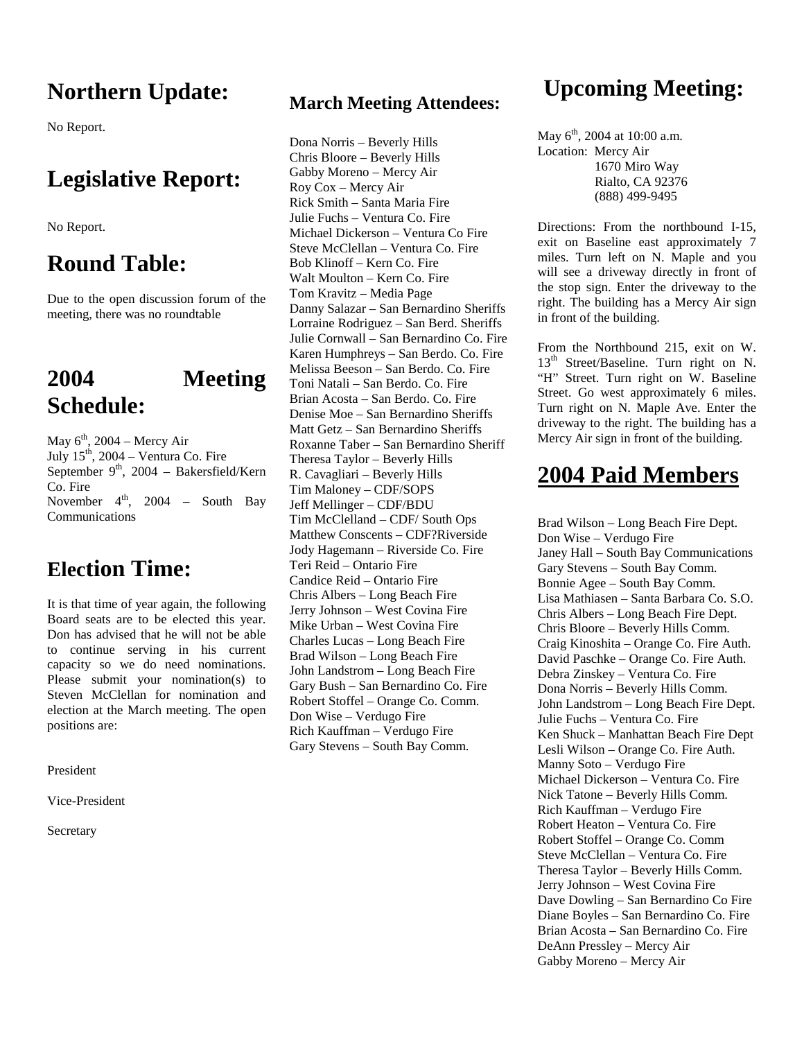## **Northern Update:**

No Report.

### **Legislative Report:**

No Report.

#### **Round Table:**

Due to the open discussion forum of the meeting, there was no roundtable

### **2004 Meeting Schedule:**

May  $6<sup>th</sup>$ , 2004 – Mercy Air July  $15<sup>th</sup>$ , 2004 – Ventura Co. Fire September 9<sup>th</sup>, 2004 – Bakersfield/Kern Co. Fire November  $4^{\text{th}}$ , 2004 – South Bay Communications

#### **Election Time:**

It is that time of year again, the following Board seats are to be elected this year. Don has advised that he will not be able to continue serving in his current capacity so we do need nominations. Please submit your nomination(s) to Steven McClellan for nomination and election at the March meeting. The open positions are:

President

Vice-President

Secretary

#### **March Meeting Attendees:**

Dona Norris – Beverly Hills Chris Bloore – Beverly Hills Gabby Moreno – Mercy Air Roy Cox – Mercy Air Rick Smith – Santa Maria Fire Julie Fuchs – Ventura Co. Fire Michael Dickerson – Ventura Co Fire Steve McClellan – Ventura Co. Fire Bob Klinoff – Kern Co. Fire Walt Moulton – Kern Co. Fire Tom Kravitz – Media Page Danny Salazar – San Bernardino Sheriffs Lorraine Rodriguez – San Berd. Sheriffs Julie Cornwall – San Bernardino Co. Fire Karen Humphreys – San Berdo. Co. Fire Melissa Beeson – San Berdo. Co. Fire Toni Natali – San Berdo. Co. Fire Brian Acosta – San Berdo. Co. Fire Denise Moe – San Bernardino Sheriffs Matt Getz – San Bernardino Sheriffs Roxanne Taber – San Bernardino Sheriff Theresa Taylor – Beverly Hills R. Cavagliari – Beverly Hills Tim Maloney – CDF/SOPS Jeff Mellinger – CDF/BDU Tim McClelland – CDF/ South Ops Matthew Conscents – CDF?Riverside Jody Hagemann – Riverside Co. Fire Teri Reid – Ontario Fire Candice Reid – Ontario Fire Chris Albers – Long Beach Fire Jerry Johnson – West Covina Fire Mike Urban – West Covina Fire Charles Lucas – Long Beach Fire Brad Wilson – Long Beach Fire John Landstrom – Long Beach Fire Gary Bush – San Bernardino Co. Fire Robert Stoffel – Orange Co. Comm. Don Wise – Verdugo Fire Rich Kauffman – Verdugo Fire Gary Stevens – South Bay Comm.

### **Upcoming Meeting:**

May  $6^{\text{th}}$ , 2004 at 10:00 a.m. Location: Mercy Air 1670 Miro Way Rialto, CA 92376 (888) 499-9495

Directions: From the northbound I-15, exit on Baseline east approximately 7 miles. Turn left on N. Maple and you will see a driveway directly in front of the stop sign. Enter the driveway to the right. The building has a Mercy Air sign in front of the building.

From the Northbound 215, exit on W. 13<sup>th</sup> Street/Baseline. Turn right on N. "H" Street. Turn right on W. Baseline Street. Go west approximately 6 miles. Turn right on N. Maple Ave. Enter the driveway to the right. The building has a Mercy Air sign in front of the building.

### **2004 Paid Members**

Brad Wilson – Long Beach Fire Dept. Don Wise – Verdugo Fire Janey Hall – South Bay Communications Gary Stevens – South Bay Comm. Bonnie Agee – South Bay Comm. Lisa Mathiasen – Santa Barbara Co. S.O. Chris Albers – Long Beach Fire Dept. Chris Bloore – Beverly Hills Comm. Craig Kinoshita – Orange Co. Fire Auth. David Paschke – Orange Co. Fire Auth. Debra Zinskey – Ventura Co. Fire Dona Norris – Beverly Hills Comm. John Landstrom – Long Beach Fire Dept. Julie Fuchs – Ventura Co. Fire Ken Shuck – Manhattan Beach Fire Dept Lesli Wilson – Orange Co. Fire Auth. Manny Soto – Verdugo Fire Michael Dickerson – Ventura Co. Fire Nick Tatone – Beverly Hills Comm. Rich Kauffman – Verdugo Fire Robert Heaton – Ventura Co. Fire Robert Stoffel – Orange Co. Comm Steve McClellan – Ventura Co. Fire Theresa Taylor – Beverly Hills Comm. Jerry Johnson – West Covina Fire Dave Dowling – San Bernardino Co Fire Diane Boyles – San Bernardino Co. Fire Brian Acosta – San Bernardino Co. Fire DeAnn Pressley – Mercy Air Gabby Moreno – Mercy Air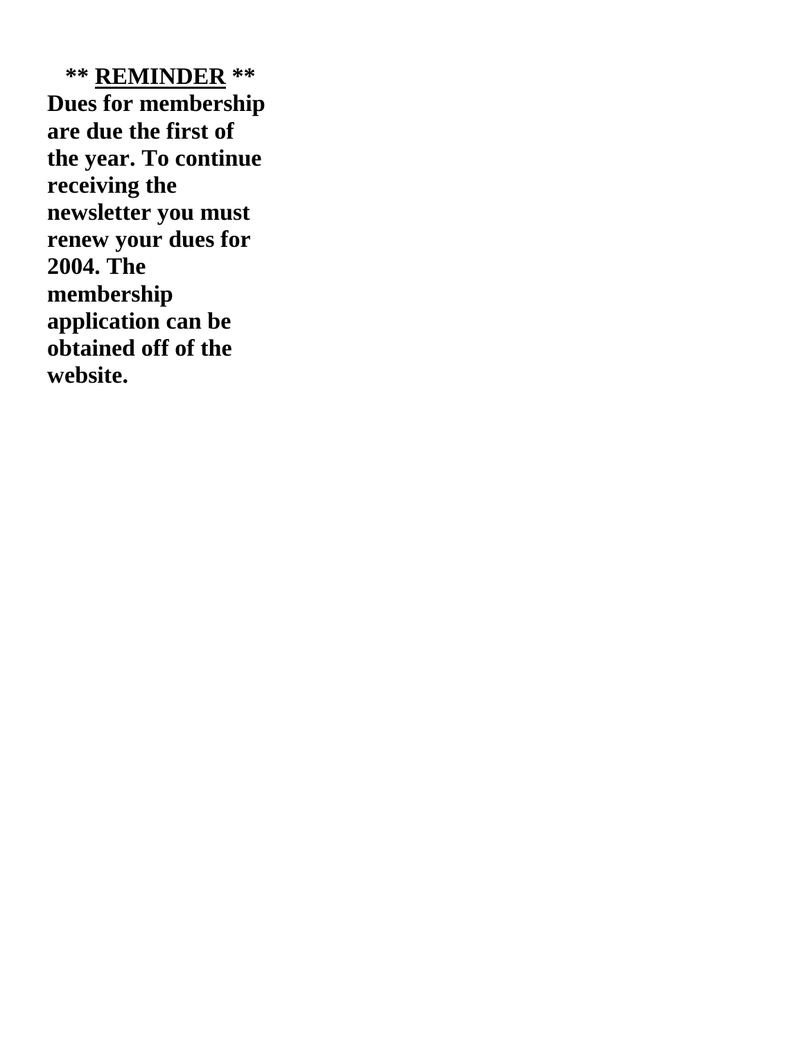**\*\* REMINDER \*\* Dues for membership are due the first of the year. To continue receiving the newsletter you must renew your dues for 2004. The membership application can be obtained off of the website.**